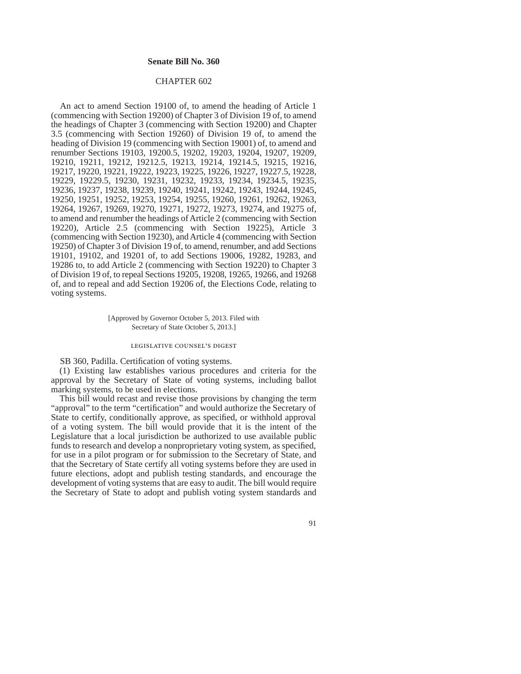### **Senate Bill No. 360**

## CHAPTER 602

An act to amend Section 19100 of, to amend the heading of Article 1 (commencing with Section 19200) of Chapter 3 of Division 19 of, to amend the headings of Chapter 3 (commencing with Section 19200) and Chapter 3.5 (commencing with Section 19260) of Division 19 of, to amend the heading of Division 19 (commencing with Section 19001) of, to amend and renumber Sections 19103, 19200.5, 19202, 19203, 19204, 19207, 19209, 19210, 19211, 19212, 19212.5, 19213, 19214, 19214.5, 19215, 19216, 19217, 19220, 19221, 19222, 19223, 19225, 19226, 19227, 19227.5, 19228, 19229, 19229.5, 19230, 19231, 19232, 19233, 19234, 19234.5, 19235, 19236, 19237, 19238, 19239, 19240, 19241, 19242, 19243, 19244, 19245, 19250, 19251, 19252, 19253, 19254, 19255, 19260, 19261, 19262, 19263, 19264, 19267, 19269, 19270, 19271, 19272, 19273, 19274, and 19275 of, to amend and renumber the headings of Article 2 (commencing with Section 19220), Article 2.5 (commencing with Section 19225), Article 3 (commencing with Section 19230), and Article 4 (commencing with Section 19250) of Chapter 3 of Division 19 of, to amend, renumber, and add Sections 19101, 19102, and 19201 of, to add Sections 19006, 19282, 19283, and 19286 to, to add Article 2 (commencing with Section 19220) to Chapter 3 of Division 19 of, to repeal Sections 19205, 19208, 19265, 19266, and 19268 of, and to repeal and add Section 19206 of, the Elections Code, relating to voting systems.

> [Approved by Governor October 5, 2013. Filed with Secretary of State October 5, 2013.]

#### legislative counsel's digest

SB 360, Padilla. Certification of voting systems.

(1) Existing law establishes various procedures and criteria for the approval by the Secretary of State of voting systems, including ballot marking systems, to be used in elections.

This bill would recast and revise those provisions by changing the term "approval" to the term "certification" and would authorize the Secretary of State to certify, conditionally approve, as specified, or withhold approval of a voting system. The bill would provide that it is the intent of the Legislature that a local jurisdiction be authorized to use available public funds to research and develop a nonproprietary voting system, as specified, for use in a pilot program or for submission to the Secretary of State, and that the Secretary of State certify all voting systems before they are used in future elections, adopt and publish testing standards, and encourage the development of voting systems that are easy to audit. The bill would require the Secretary of State to adopt and publish voting system standards and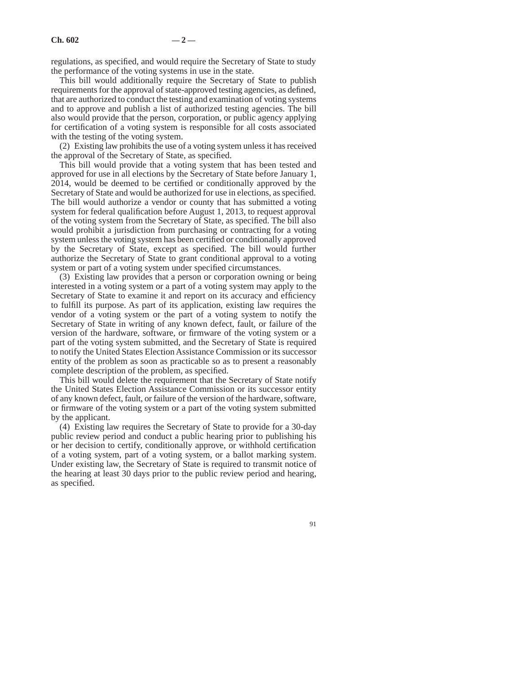regulations, as specified, and would require the Secretary of State to study the performance of the voting systems in use in the state.

This bill would additionally require the Secretary of State to publish requirements for the approval of state-approved testing agencies, as defined, that are authorized to conduct the testing and examination of voting systems and to approve and publish a list of authorized testing agencies. The bill also would provide that the person, corporation, or public agency applying for certification of a voting system is responsible for all costs associated with the testing of the voting system.

(2) Existing law prohibits the use of a voting system unless it has received the approval of the Secretary of State, as specified.

This bill would provide that a voting system that has been tested and approved for use in all elections by the Secretary of State before January 1, 2014, would be deemed to be certified or conditionally approved by the Secretary of State and would be authorized for use in elections, as specified. The bill would authorize a vendor or county that has submitted a voting system for federal qualification before August 1, 2013, to request approval of the voting system from the Secretary of State, as specified. The bill also would prohibit a jurisdiction from purchasing or contracting for a voting system unless the voting system has been certified or conditionally approved by the Secretary of State, except as specified. The bill would further authorize the Secretary of State to grant conditional approval to a voting system or part of a voting system under specified circumstances.

(3) Existing law provides that a person or corporation owning or being interested in a voting system or a part of a voting system may apply to the Secretary of State to examine it and report on its accuracy and efficiency to fulfill its purpose. As part of its application, existing law requires the vendor of a voting system or the part of a voting system to notify the Secretary of State in writing of any known defect, fault, or failure of the version of the hardware, software, or firmware of the voting system or a part of the voting system submitted, and the Secretary of State is required to notify the United States Election Assistance Commission or its successor entity of the problem as soon as practicable so as to present a reasonably complete description of the problem, as specified.

This bill would delete the requirement that the Secretary of State notify the United States Election Assistance Commission or its successor entity of any known defect, fault, or failure of the version of the hardware, software, or firmware of the voting system or a part of the voting system submitted by the applicant.

(4) Existing law requires the Secretary of State to provide for a 30-day public review period and conduct a public hearing prior to publishing his or her decision to certify, conditionally approve, or withhold certification of a voting system, part of a voting system, or a ballot marking system. Under existing law, the Secretary of State is required to transmit notice of the hearing at least 30 days prior to the public review period and hearing, as specified.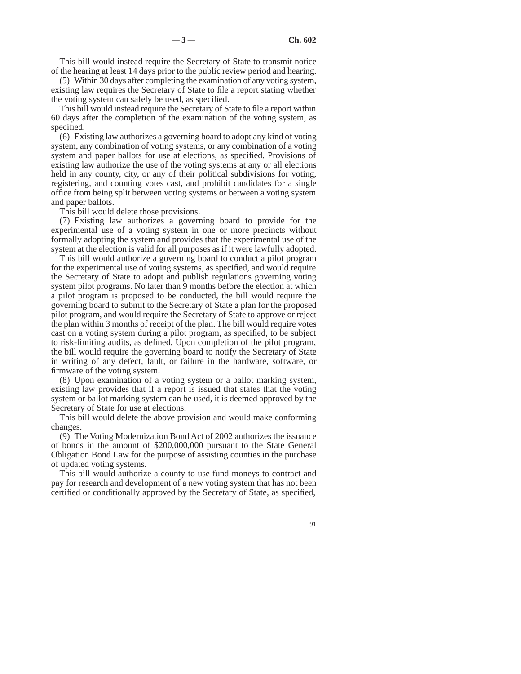This bill would instead require the Secretary of State to transmit notice of the hearing at least 14 days prior to the public review period and hearing.

(5) Within 30 days after completing the examination of any voting system, existing law requires the Secretary of State to file a report stating whether the voting system can safely be used, as specified.

This bill would instead require the Secretary of State to file a report within 60 days after the completion of the examination of the voting system, as specified.

(6) Existing law authorizes a governing board to adopt any kind of voting system, any combination of voting systems, or any combination of a voting system and paper ballots for use at elections, as specified. Provisions of existing law authorize the use of the voting systems at any or all elections held in any county, city, or any of their political subdivisions for voting, registering, and counting votes cast, and prohibit candidates for a single office from being split between voting systems or between a voting system and paper ballots.

This bill would delete those provisions.

(7) Existing law authorizes a governing board to provide for the experimental use of a voting system in one or more precincts without formally adopting the system and provides that the experimental use of the system at the election is valid for all purposes as if it were lawfully adopted.

This bill would authorize a governing board to conduct a pilot program for the experimental use of voting systems, as specified, and would require the Secretary of State to adopt and publish regulations governing voting system pilot programs. No later than 9 months before the election at which a pilot program is proposed to be conducted, the bill would require the governing board to submit to the Secretary of State a plan for the proposed pilot program, and would require the Secretary of State to approve or reject the plan within 3 months of receipt of the plan. The bill would require votes cast on a voting system during a pilot program, as specified, to be subject to risk-limiting audits, as defined. Upon completion of the pilot program, the bill would require the governing board to notify the Secretary of State in writing of any defect, fault, or failure in the hardware, software, or firmware of the voting system.

(8) Upon examination of a voting system or a ballot marking system, existing law provides that if a report is issued that states that the voting system or ballot marking system can be used, it is deemed approved by the Secretary of State for use at elections.

This bill would delete the above provision and would make conforming changes.

(9) The Voting Modernization Bond Act of 2002 authorizes the issuance of bonds in the amount of \$200,000,000 pursuant to the State General Obligation Bond Law for the purpose of assisting counties in the purchase of updated voting systems.

This bill would authorize a county to use fund moneys to contract and pay for research and development of a new voting system that has not been certified or conditionally approved by the Secretary of State, as specified,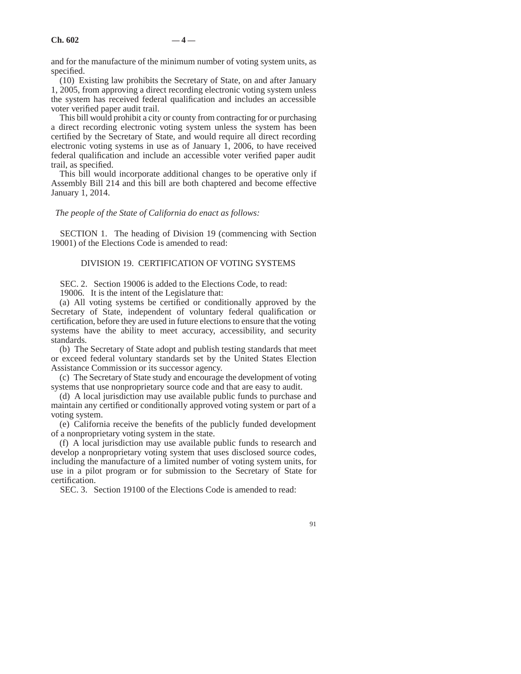and for the manufacture of the minimum number of voting system units, as specified.

(10) Existing law prohibits the Secretary of State, on and after January 1, 2005, from approving a direct recording electronic voting system unless the system has received federal qualification and includes an accessible voter verified paper audit trail.

This bill would prohibit a city or county from contracting for or purchasing a direct recording electronic voting system unless the system has been certified by the Secretary of State, and would require all direct recording electronic voting systems in use as of January 1, 2006, to have received federal qualification and include an accessible voter verified paper audit trail, as specified.

This bill would incorporate additional changes to be operative only if Assembly Bill 214 and this bill are both chaptered and become effective January 1, 2014.

*The people of the State of California do enact as follows:*

SECTION 1. The heading of Division 19 (commencing with Section 19001) of the Elections Code is amended to read:

# DIVISION 19. CERTIFICATION OF VOTING SYSTEMS

SEC. 2. Section 19006 is added to the Elections Code, to read:

19006. It is the intent of the Legislature that:

(a) All voting systems be certified or conditionally approved by the Secretary of State, independent of voluntary federal qualification or certification, before they are used in future elections to ensure that the voting systems have the ability to meet accuracy, accessibility, and security standards.

(b) The Secretary of State adopt and publish testing standards that meet or exceed federal voluntary standards set by the United States Election Assistance Commission or its successor agency.

(c) The Secretary of State study and encourage the development of voting systems that use nonproprietary source code and that are easy to audit.

(d) A local jurisdiction may use available public funds to purchase and maintain any certified or conditionally approved voting system or part of a voting system.

(e) California receive the benefits of the publicly funded development of a nonproprietary voting system in the state.

(f) A local jurisdiction may use available public funds to research and develop a nonproprietary voting system that uses disclosed source codes, including the manufacture of a limited number of voting system units, for use in a pilot program or for submission to the Secretary of State for certification.

SEC. 3. Section 19100 of the Elections Code is amended to read: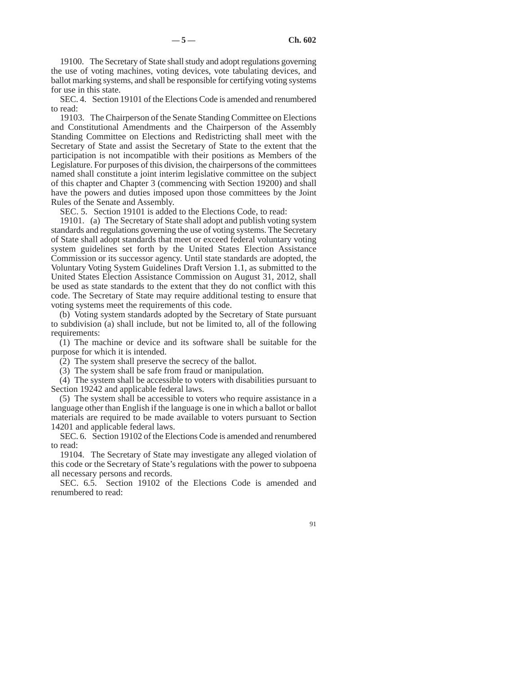19100. The Secretary of State shall study and adopt regulations governing the use of voting machines, voting devices, vote tabulating devices, and ballot marking systems, and shall be responsible for certifying voting systems for use in this state.

SEC. 4. Section 19101 of the Elections Code is amended and renumbered to read:

19103. The Chairperson of the Senate Standing Committee on Elections and Constitutional Amendments and the Chairperson of the Assembly Standing Committee on Elections and Redistricting shall meet with the Secretary of State and assist the Secretary of State to the extent that the participation is not incompatible with their positions as Members of the Legislature. For purposes of this division, the chairpersons of the committees named shall constitute a joint interim legislative committee on the subject of this chapter and Chapter 3 (commencing with Section 19200) and shall have the powers and duties imposed upon those committees by the Joint Rules of the Senate and Assembly.

SEC. 5. Section 19101 is added to the Elections Code, to read:

19101. (a) The Secretary of State shall adopt and publish voting system standards and regulations governing the use of voting systems. The Secretary of State shall adopt standards that meet or exceed federal voluntary voting system guidelines set forth by the United States Election Assistance Commission or its successor agency. Until state standards are adopted, the Voluntary Voting System Guidelines Draft Version 1.1, as submitted to the United States Election Assistance Commission on August 31, 2012, shall be used as state standards to the extent that they do not conflict with this code. The Secretary of State may require additional testing to ensure that voting systems meet the requirements of this code.

(b) Voting system standards adopted by the Secretary of State pursuant to subdivision (a) shall include, but not be limited to, all of the following requirements:

(1) The machine or device and its software shall be suitable for the purpose for which it is intended.

(2) The system shall preserve the secrecy of the ballot.

(3) The system shall be safe from fraud or manipulation.

(4) The system shall be accessible to voters with disabilities pursuant to Section 19242 and applicable federal laws.

(5) The system shall be accessible to voters who require assistance in a language other than English if the language is one in which a ballot or ballot materials are required to be made available to voters pursuant to Section 14201 and applicable federal laws.

SEC. 6. Section 19102 of the Elections Code is amended and renumbered to read:

19104. The Secretary of State may investigate any alleged violation of this code or the Secretary of State's regulations with the power to subpoena all necessary persons and records.

SEC. 6.5. Section 19102 of the Elections Code is amended and renumbered to read: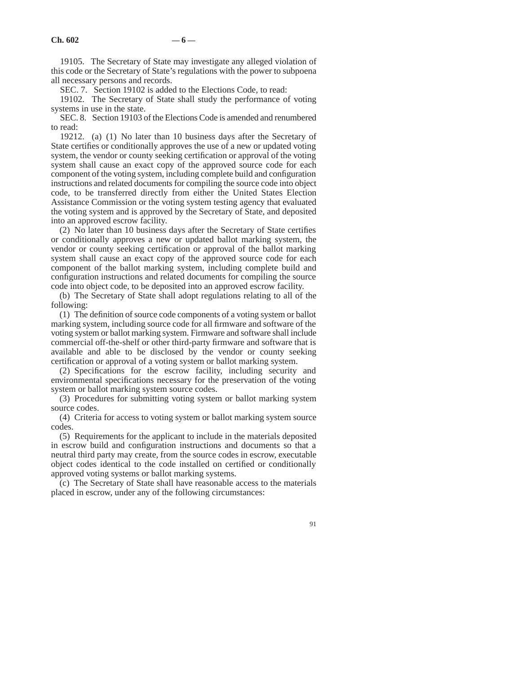19105. The Secretary of State may investigate any alleged violation of this code or the Secretary of State's regulations with the power to subpoena all necessary persons and records.

SEC. 7. Section 19102 is added to the Elections Code, to read:

19102. The Secretary of State shall study the performance of voting systems in use in the state.

SEC. 8. Section 19103 of the Elections Code is amended and renumbered to read:

19212. (a) (1) No later than 10 business days after the Secretary of State certifies or conditionally approves the use of a new or updated voting system, the vendor or county seeking certification or approval of the voting system shall cause an exact copy of the approved source code for each component of the voting system, including complete build and configuration instructions and related documents for compiling the source code into object code, to be transferred directly from either the United States Election Assistance Commission or the voting system testing agency that evaluated the voting system and is approved by the Secretary of State, and deposited into an approved escrow facility.

(2) No later than 10 business days after the Secretary of State certifies or conditionally approves a new or updated ballot marking system, the vendor or county seeking certification or approval of the ballot marking system shall cause an exact copy of the approved source code for each component of the ballot marking system, including complete build and configuration instructions and related documents for compiling the source code into object code, to be deposited into an approved escrow facility.

(b) The Secretary of State shall adopt regulations relating to all of the following:

(1) The definition of source code components of a voting system or ballot marking system, including source code for all firmware and software of the voting system or ballot marking system. Firmware and software shall include commercial off-the-shelf or other third-party firmware and software that is available and able to be disclosed by the vendor or county seeking certification or approval of a voting system or ballot marking system.

(2) Specifications for the escrow facility, including security and environmental specifications necessary for the preservation of the voting system or ballot marking system source codes.

(3) Procedures for submitting voting system or ballot marking system source codes.

(4) Criteria for access to voting system or ballot marking system source codes.

(5) Requirements for the applicant to include in the materials deposited in escrow build and configuration instructions and documents so that a neutral third party may create, from the source codes in escrow, executable object codes identical to the code installed on certified or conditionally approved voting systems or ballot marking systems.

(c) The Secretary of State shall have reasonable access to the materials placed in escrow, under any of the following circumstances: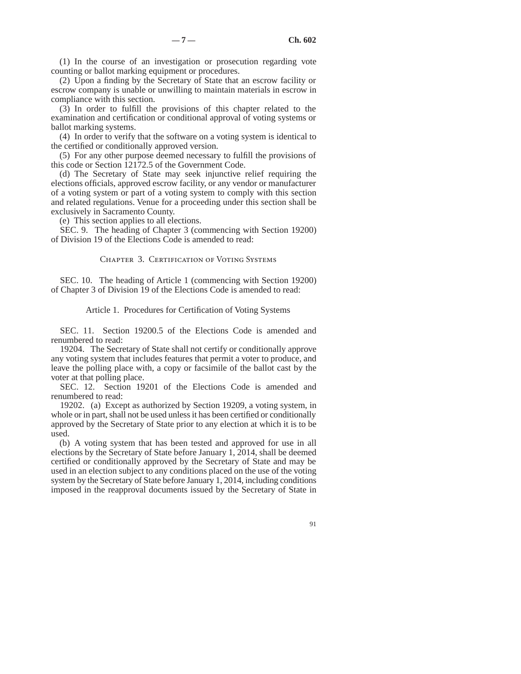(1) In the course of an investigation or prosecution regarding vote counting or ballot marking equipment or procedures.

(2) Upon a finding by the Secretary of State that an escrow facility or escrow company is unable or unwilling to maintain materials in escrow in compliance with this section.

(3) In order to fulfill the provisions of this chapter related to the examination and certification or conditional approval of voting systems or ballot marking systems.

(4) In order to verify that the software on a voting system is identical to the certified or conditionally approved version.

(5) For any other purpose deemed necessary to fulfill the provisions of this code or Section 12172.5 of the Government Code.

(d) The Secretary of State may seek injunctive relief requiring the elections officials, approved escrow facility, or any vendor or manufacturer of a voting system or part of a voting system to comply with this section and related regulations. Venue for a proceeding under this section shall be exclusively in Sacramento County.

(e) This section applies to all elections.

SEC. 9. The heading of Chapter 3 (commencing with Section 19200) of Division 19 of the Elections Code is amended to read:

# CHAPTER 3. CERTIFICATION OF VOTING SYSTEMS

SEC. 10. The heading of Article 1 (commencing with Section 19200) of Chapter 3 of Division 19 of the Elections Code is amended to read:

#### Article 1. Procedures for Certification of Voting Systems

SEC. 11. Section 19200.5 of the Elections Code is amended and renumbered to read:

19204. The Secretary of State shall not certify or conditionally approve any voting system that includes features that permit a voter to produce, and leave the polling place with, a copy or facsimile of the ballot cast by the voter at that polling place.

SEC. 12. Section 19201 of the Elections Code is amended and renumbered to read:

19202. (a) Except as authorized by Section 19209, a voting system, in whole or in part, shall not be used unless it has been certified or conditionally approved by the Secretary of State prior to any election at which it is to be used.

(b) A voting system that has been tested and approved for use in all elections by the Secretary of State before January 1, 2014, shall be deemed certified or conditionally approved by the Secretary of State and may be used in an election subject to any conditions placed on the use of the voting system by the Secretary of State before January 1, 2014, including conditions imposed in the reapproval documents issued by the Secretary of State in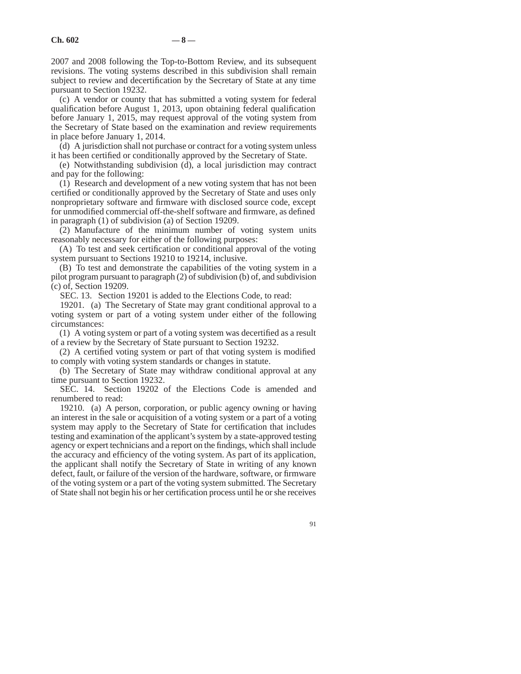2007 and 2008 following the Top-to-Bottom Review, and its subsequent revisions. The voting systems described in this subdivision shall remain subject to review and decertification by the Secretary of State at any time pursuant to Section 19232.

(c) A vendor or county that has submitted a voting system for federal qualification before August 1, 2013, upon obtaining federal qualification before January 1, 2015, may request approval of the voting system from the Secretary of State based on the examination and review requirements in place before January 1, 2014.

(d) A jurisdiction shall not purchase or contract for a voting system unless it has been certified or conditionally approved by the Secretary of State.

(e) Notwithstanding subdivision (d), a local jurisdiction may contract and pay for the following:

(1) Research and development of a new voting system that has not been certified or conditionally approved by the Secretary of State and uses only nonproprietary software and firmware with disclosed source code, except for unmodified commercial off-the-shelf software and firmware, as defined in paragraph (1) of subdivision (a) of Section 19209.

(2) Manufacture of the minimum number of voting system units reasonably necessary for either of the following purposes:

(A) To test and seek certification or conditional approval of the voting system pursuant to Sections 19210 to 19214, inclusive.

(B) To test and demonstrate the capabilities of the voting system in a pilot program pursuant to paragraph (2) of subdivision (b) of, and subdivision (c) of, Section 19209.

SEC. 13. Section 19201 is added to the Elections Code, to read:

19201. (a) The Secretary of State may grant conditional approval to a voting system or part of a voting system under either of the following circumstances:

(1) A voting system or part of a voting system was decertified as a result of a review by the Secretary of State pursuant to Section 19232.

(2) A certified voting system or part of that voting system is modified to comply with voting system standards or changes in statute.

(b) The Secretary of State may withdraw conditional approval at any time pursuant to Section 19232.

SEC. 14. Section 19202 of the Elections Code is amended and renumbered to read:

19210. (a) A person, corporation, or public agency owning or having an interest in the sale or acquisition of a voting system or a part of a voting system may apply to the Secretary of State for certification that includes testing and examination of the applicant's system by a state-approved testing agency or expert technicians and a report on the findings, which shall include the accuracy and efficiency of the voting system. As part of its application, the applicant shall notify the Secretary of State in writing of any known defect, fault, or failure of the version of the hardware, software, or firmware of the voting system or a part of the voting system submitted. The Secretary of State shall not begin his or her certification process until he or she receives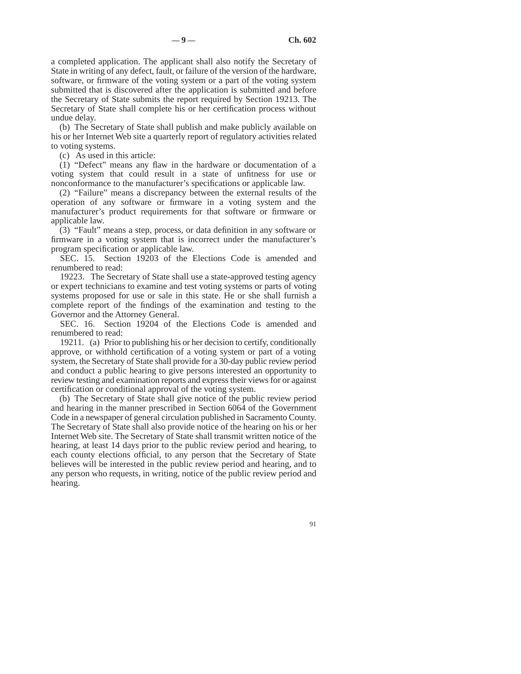a completed application. The applicant shall also notify the Secretary of State in writing of any defect, fault, or failure of the version of the hardware, software, or firmware of the voting system or a part of the voting system submitted that is discovered after the application is submitted and before the Secretary of State submits the report required by Section 19213. The Secretary of State shall complete his or her certification process without undue delay.

(b) The Secretary of State shall publish and make publicly available on his or her Internet Web site a quarterly report of regulatory activities related to voting systems.

(c) As used in this article:

(1) "Defect" means any flaw in the hardware or documentation of a voting system that could result in a state of unfitness for use or nonconformance to the manufacturer's specifications or applicable law.

(2) "Failure" means a discrepancy between the external results of the operation of any software or firmware in a voting system and the manufacturer's product requirements for that software or firmware or applicable law.

(3) "Fault" means a step, process, or data definition in any software or firmware in a voting system that is incorrect under the manufacturer's program specification or applicable law.

SEC. 15. Section 19203 of the Elections Code is amended and renumbered to read:

19223. The Secretary of State shall use a state-approved testing agency or expert technicians to examine and test voting systems or parts of voting systems proposed for use or sale in this state. He or she shall furnish a complete report of the findings of the examination and testing to the Governor and the Attorney General.

SEC. 16. Section 19204 of the Elections Code is amended and renumbered to read:

19211. (a) Prior to publishing his or her decision to certify, conditionally approve, or withhold certification of a voting system or part of a voting system, the Secretary of State shall provide for a 30-day public review period and conduct a public hearing to give persons interested an opportunity to review testing and examination reports and express their views for or against certification or conditional approval of the voting system.

(b) The Secretary of State shall give notice of the public review period and hearing in the manner prescribed in Section 6064 of the Government Code in a newspaper of general circulation published in Sacramento County. The Secretary of State shall also provide notice of the hearing on his or her Internet Web site. The Secretary of State shall transmit written notice of the hearing, at least 14 days prior to the public review period and hearing, to each county elections official, to any person that the Secretary of State believes will be interested in the public review period and hearing, and to any person who requests, in writing, notice of the public review period and hearing.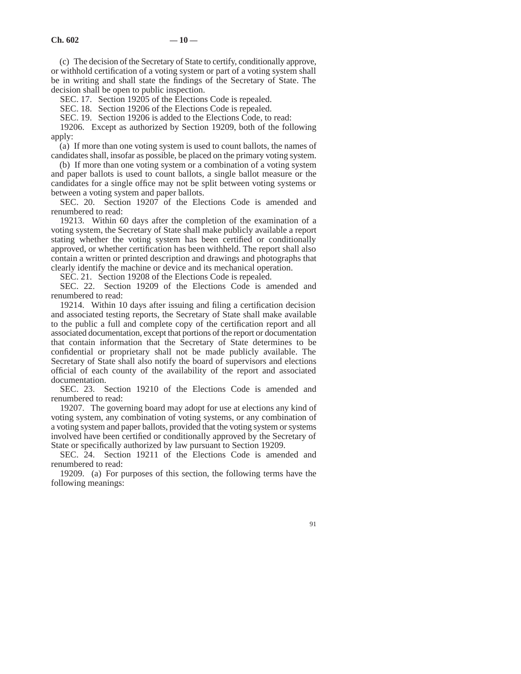(c) The decision of the Secretary of State to certify, conditionally approve, or withhold certification of a voting system or part of a voting system shall be in writing and shall state the findings of the Secretary of State. The decision shall be open to public inspection.

SEC. 17. Section 19205 of the Elections Code is repealed.

SEC. 18. Section 19206 of the Elections Code is repealed.

SEC. 19. Section 19206 is added to the Elections Code, to read:

19206. Except as authorized by Section 19209, both of the following apply:

(a) If more than one voting system is used to count ballots, the names of candidates shall, insofar as possible, be placed on the primary voting system.

(b) If more than one voting system or a combination of a voting system and paper ballots is used to count ballots, a single ballot measure or the candidates for a single office may not be split between voting systems or between a voting system and paper ballots.

SEC. 20. Section 19207 of the Elections Code is amended and renumbered to read:

19213. Within 60 days after the completion of the examination of a voting system, the Secretary of State shall make publicly available a report stating whether the voting system has been certified or conditionally approved, or whether certification has been withheld. The report shall also contain a written or printed description and drawings and photographs that clearly identify the machine or device and its mechanical operation.

SEC. 21. Section 19208 of the Elections Code is repealed.

SEC. 22. Section 19209 of the Elections Code is amended and renumbered to read:

19214. Within 10 days after issuing and filing a certification decision and associated testing reports, the Secretary of State shall make available to the public a full and complete copy of the certification report and all associated documentation, except that portions of the report or documentation that contain information that the Secretary of State determines to be confidential or proprietary shall not be made publicly available. The Secretary of State shall also notify the board of supervisors and elections official of each county of the availability of the report and associated documentation.

SEC. 23. Section 19210 of the Elections Code is amended and renumbered to read:

19207. The governing board may adopt for use at elections any kind of voting system, any combination of voting systems, or any combination of a voting system and paper ballots, provided that the voting system or systems involved have been certified or conditionally approved by the Secretary of State or specifically authorized by law pursuant to Section 19209.

SEC. 24. Section 19211 of the Elections Code is amended and renumbered to read:

19209. (a) For purposes of this section, the following terms have the following meanings: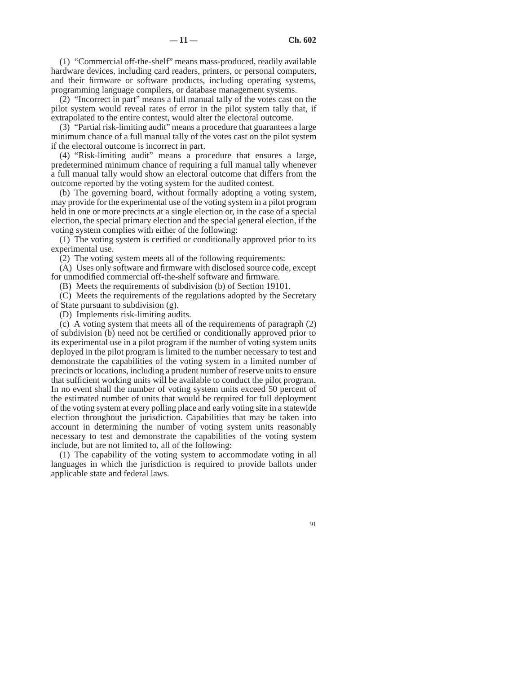(1) "Commercial off-the-shelf" means mass-produced, readily available hardware devices, including card readers, printers, or personal computers, and their firmware or software products, including operating systems, programming language compilers, or database management systems.

(2) "Incorrect in part" means a full manual tally of the votes cast on the pilot system would reveal rates of error in the pilot system tally that, if extrapolated to the entire contest, would alter the electoral outcome.

(3) "Partial risk-limiting audit" means a procedure that guarantees a large minimum chance of a full manual tally of the votes cast on the pilot system if the electoral outcome is incorrect in part.

(4) "Risk-limiting audit" means a procedure that ensures a large, predetermined minimum chance of requiring a full manual tally whenever a full manual tally would show an electoral outcome that differs from the outcome reported by the voting system for the audited contest.

(b) The governing board, without formally adopting a voting system, may provide for the experimental use of the voting system in a pilot program held in one or more precincts at a single election or, in the case of a special election, the special primary election and the special general election, if the voting system complies with either of the following:

(1) The voting system is certified or conditionally approved prior to its experimental use.

(2) The voting system meets all of the following requirements:

(A) Uses only software and firmware with disclosed source code, except for unmodified commercial off-the-shelf software and firmware.

(B) Meets the requirements of subdivision (b) of Section 19101.

(C) Meets the requirements of the regulations adopted by the Secretary of State pursuant to subdivision (g).

(D) Implements risk-limiting audits.

(c) A voting system that meets all of the requirements of paragraph (2) of subdivision (b) need not be certified or conditionally approved prior to its experimental use in a pilot program if the number of voting system units deployed in the pilot program is limited to the number necessary to test and demonstrate the capabilities of the voting system in a limited number of precincts or locations, including a prudent number of reserve units to ensure that sufficient working units will be available to conduct the pilot program. In no event shall the number of voting system units exceed 50 percent of the estimated number of units that would be required for full deployment of the voting system at every polling place and early voting site in a statewide election throughout the jurisdiction. Capabilities that may be taken into account in determining the number of voting system units reasonably necessary to test and demonstrate the capabilities of the voting system include, but are not limited to, all of the following:

(1) The capability of the voting system to accommodate voting in all languages in which the jurisdiction is required to provide ballots under applicable state and federal laws.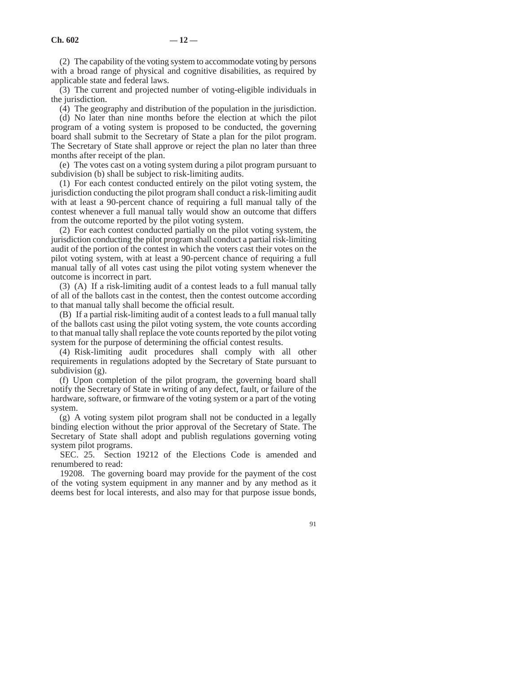(2) The capability of the voting system to accommodate voting by persons with a broad range of physical and cognitive disabilities, as required by applicable state and federal laws.

(3) The current and projected number of voting-eligible individuals in the jurisdiction.

(4) The geography and distribution of the population in the jurisdiction.

(d) No later than nine months before the election at which the pilot program of a voting system is proposed to be conducted, the governing board shall submit to the Secretary of State a plan for the pilot program. The Secretary of State shall approve or reject the plan no later than three months after receipt of the plan.

(e) The votes cast on a voting system during a pilot program pursuant to subdivision (b) shall be subject to risk-limiting audits.

(1) For each contest conducted entirely on the pilot voting system, the jurisdiction conducting the pilot program shall conduct a risk-limiting audit with at least a 90-percent chance of requiring a full manual tally of the contest whenever a full manual tally would show an outcome that differs from the outcome reported by the pilot voting system.

(2) For each contest conducted partially on the pilot voting system, the jurisdiction conducting the pilot program shall conduct a partial risk-limiting audit of the portion of the contest in which the voters cast their votes on the pilot voting system, with at least a 90-percent chance of requiring a full manual tally of all votes cast using the pilot voting system whenever the outcome is incorrect in part.

(3) (A) If a risk-limiting audit of a contest leads to a full manual tally of all of the ballots cast in the contest, then the contest outcome according to that manual tally shall become the official result.

(B) If a partial risk-limiting audit of a contest leads to a full manual tally of the ballots cast using the pilot voting system, the vote counts according to that manual tally shall replace the vote counts reported by the pilot voting system for the purpose of determining the official contest results.

(4) Risk-limiting audit procedures shall comply with all other requirements in regulations adopted by the Secretary of State pursuant to subdivision (g).

(f) Upon completion of the pilot program, the governing board shall notify the Secretary of State in writing of any defect, fault, or failure of the hardware, software, or firmware of the voting system or a part of the voting system.

(g) A voting system pilot program shall not be conducted in a legally binding election without the prior approval of the Secretary of State. The Secretary of State shall adopt and publish regulations governing voting system pilot programs.

SEC. 25. Section 19212 of the Elections Code is amended and renumbered to read:

19208. The governing board may provide for the payment of the cost of the voting system equipment in any manner and by any method as it deems best for local interests, and also may for that purpose issue bonds,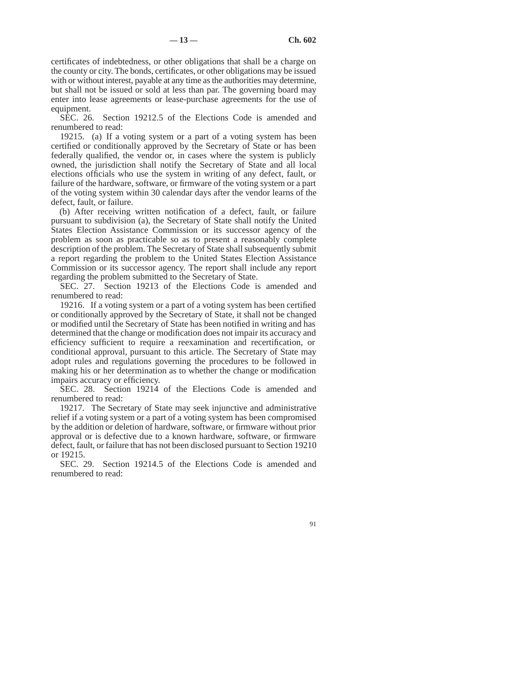certificates of indebtedness, or other obligations that shall be a charge on the county or city. The bonds, certificates, or other obligations may be issued with or without interest, payable at any time as the authorities may determine, but shall not be issued or sold at less than par. The governing board may enter into lease agreements or lease-purchase agreements for the use of equipment.

SEC. 26. Section 19212.5 of the Elections Code is amended and renumbered to read:

19215. (a) If a voting system or a part of a voting system has been certified or conditionally approved by the Secretary of State or has been federally qualified, the vendor or, in cases where the system is publicly owned, the jurisdiction shall notify the Secretary of State and all local elections officials who use the system in writing of any defect, fault, or failure of the hardware, software, or firmware of the voting system or a part of the voting system within 30 calendar days after the vendor learns of the defect, fault, or failure.

(b) After receiving written notification of a defect, fault, or failure pursuant to subdivision (a), the Secretary of State shall notify the United States Election Assistance Commission or its successor agency of the problem as soon as practicable so as to present a reasonably complete description of the problem. The Secretary of State shall subsequently submit a report regarding the problem to the United States Election Assistance Commission or its successor agency. The report shall include any report regarding the problem submitted to the Secretary of State.

SEC. 27. Section 19213 of the Elections Code is amended and renumbered to read:

19216. If a voting system or a part of a voting system has been certified or conditionally approved by the Secretary of State, it shall not be changed or modified until the Secretary of State has been notified in writing and has determined that the change or modification does not impair its accuracy and efficiency sufficient to require a reexamination and recertification, or conditional approval, pursuant to this article. The Secretary of State may adopt rules and regulations governing the procedures to be followed in making his or her determination as to whether the change or modification impairs accuracy or efficiency.

SEC. 28. Section 19214 of the Elections Code is amended and renumbered to read:

19217. The Secretary of State may seek injunctive and administrative relief if a voting system or a part of a voting system has been compromised by the addition or deletion of hardware, software, or firmware without prior approval or is defective due to a known hardware, software, or firmware defect, fault, or failure that has not been disclosed pursuant to Section 19210 or 19215.

SEC. 29. Section 19214.5 of the Elections Code is amended and renumbered to read: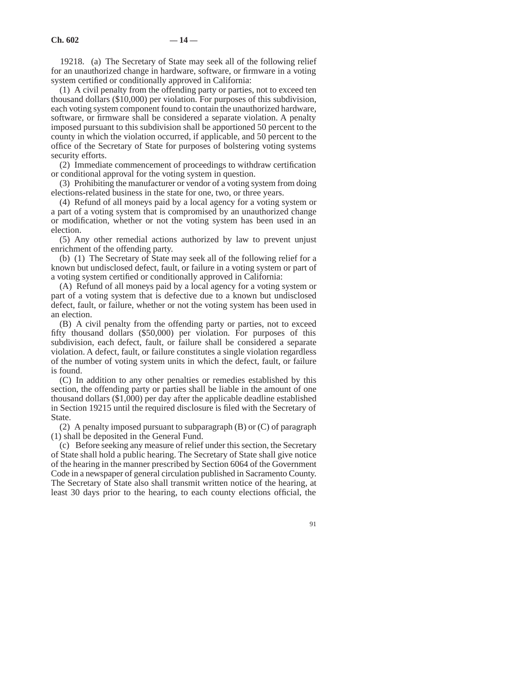19218. (a) The Secretary of State may seek all of the following relief for an unauthorized change in hardware, software, or firmware in a voting system certified or conditionally approved in California:

(1) A civil penalty from the offending party or parties, not to exceed ten thousand dollars (\$10,000) per violation. For purposes of this subdivision, each voting system component found to contain the unauthorized hardware, software, or firmware shall be considered a separate violation. A penalty imposed pursuant to this subdivision shall be apportioned 50 percent to the county in which the violation occurred, if applicable, and 50 percent to the office of the Secretary of State for purposes of bolstering voting systems security efforts.

(2) Immediate commencement of proceedings to withdraw certification or conditional approval for the voting system in question.

(3) Prohibiting the manufacturer or vendor of a voting system from doing elections-related business in the state for one, two, or three years.

(4) Refund of all moneys paid by a local agency for a voting system or a part of a voting system that is compromised by an unauthorized change or modification, whether or not the voting system has been used in an election.

(5) Any other remedial actions authorized by law to prevent unjust enrichment of the offending party.

(b) (1) The Secretary of State may seek all of the following relief for a known but undisclosed defect, fault, or failure in a voting system or part of a voting system certified or conditionally approved in California:

(A) Refund of all moneys paid by a local agency for a voting system or part of a voting system that is defective due to a known but undisclosed defect, fault, or failure, whether or not the voting system has been used in an election.

(B) A civil penalty from the offending party or parties, not to exceed fifty thousand dollars (\$50,000) per violation. For purposes of this subdivision, each defect, fault, or failure shall be considered a separate violation. A defect, fault, or failure constitutes a single violation regardless of the number of voting system units in which the defect, fault, or failure is found.

(C) In addition to any other penalties or remedies established by this section, the offending party or parties shall be liable in the amount of one thousand dollars (\$1,000) per day after the applicable deadline established in Section 19215 until the required disclosure is filed with the Secretary of State.

(2) A penalty imposed pursuant to subparagraph  $(B)$  or  $(C)$  of paragraph (1) shall be deposited in the General Fund.

(c) Before seeking any measure of relief under this section, the Secretary of State shall hold a public hearing. The Secretary of State shall give notice of the hearing in the manner prescribed by Section 6064 of the Government Code in a newspaper of general circulation published in Sacramento County. The Secretary of State also shall transmit written notice of the hearing, at least 30 days prior to the hearing, to each county elections official, the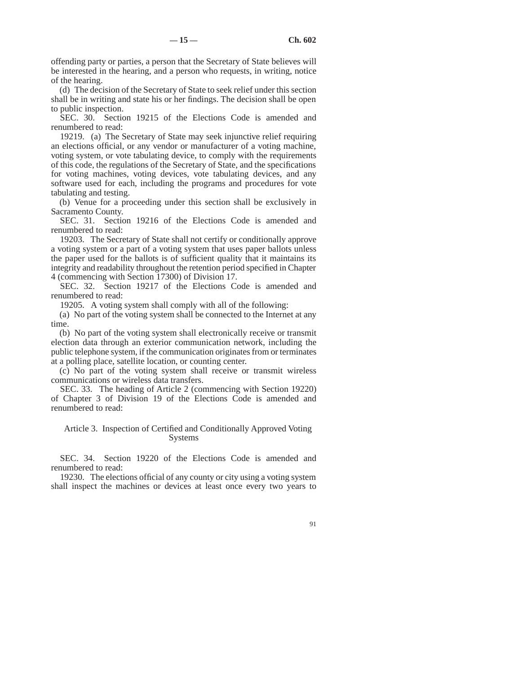offending party or parties, a person that the Secretary of State believes will be interested in the hearing, and a person who requests, in writing, notice of the hearing.

(d) The decision of the Secretary of State to seek relief under this section shall be in writing and state his or her findings. The decision shall be open to public inspection.

SEC. 30. Section 19215 of the Elections Code is amended and renumbered to read:

19219. (a) The Secretary of State may seek injunctive relief requiring an elections official, or any vendor or manufacturer of a voting machine, voting system, or vote tabulating device, to comply with the requirements of this code, the regulations of the Secretary of State, and the specifications for voting machines, voting devices, vote tabulating devices, and any software used for each, including the programs and procedures for vote tabulating and testing.

(b) Venue for a proceeding under this section shall be exclusively in Sacramento County.

SEC. 31. Section 19216 of the Elections Code is amended and renumbered to read:

19203. The Secretary of State shall not certify or conditionally approve a voting system or a part of a voting system that uses paper ballots unless the paper used for the ballots is of sufficient quality that it maintains its integrity and readability throughout the retention period specified in Chapter 4 (commencing with Section 17300) of Division 17.

SEC. 32. Section 19217 of the Elections Code is amended and renumbered to read:

19205. A voting system shall comply with all of the following:

(a) No part of the voting system shall be connected to the Internet at any time.

(b) No part of the voting system shall electronically receive or transmit election data through an exterior communication network, including the public telephone system, if the communication originates from or terminates at a polling place, satellite location, or counting center.

(c) No part of the voting system shall receive or transmit wireless communications or wireless data transfers.

SEC. 33. The heading of Article 2 (commencing with Section 19220) of Chapter 3 of Division 19 of the Elections Code is amended and renumbered to read:

### Article 3. Inspection of Certified and Conditionally Approved Voting Systems

SEC. 34. Section 19220 of the Elections Code is amended and renumbered to read:

19230. The elections official of any county or city using a voting system shall inspect the machines or devices at least once every two years to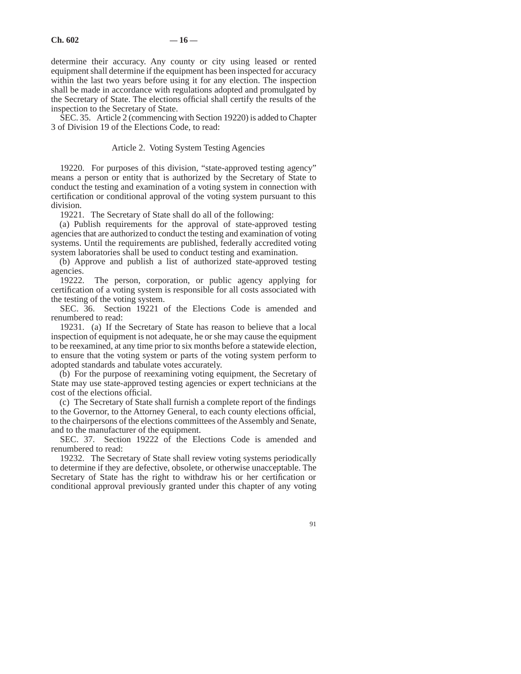determine their accuracy. Any county or city using leased or rented equipment shall determine if the equipment has been inspected for accuracy within the last two years before using it for any election. The inspection shall be made in accordance with regulations adopted and promulgated by the Secretary of State. The elections official shall certify the results of the inspection to the Secretary of State.

SEC. 35. Article 2 (commencing with Section 19220) is added to Chapter 3 of Division 19 of the Elections Code, to read:

### Article 2. Voting System Testing Agencies

19220. For purposes of this division, "state-approved testing agency" means a person or entity that is authorized by the Secretary of State to conduct the testing and examination of a voting system in connection with certification or conditional approval of the voting system pursuant to this division.

19221. The Secretary of State shall do all of the following:

(a) Publish requirements for the approval of state-approved testing agencies that are authorized to conduct the testing and examination of voting systems. Until the requirements are published, federally accredited voting system laboratories shall be used to conduct testing and examination.

(b) Approve and publish a list of authorized state-approved testing agencies.

19222. The person, corporation, or public agency applying for certification of a voting system is responsible for all costs associated with the testing of the voting system.

SEC. 36. Section 19221 of the Elections Code is amended and renumbered to read:

19231. (a) If the Secretary of State has reason to believe that a local inspection of equipment is not adequate, he or she may cause the equipment to be reexamined, at any time prior to six months before a statewide election, to ensure that the voting system or parts of the voting system perform to adopted standards and tabulate votes accurately.

(b) For the purpose of reexamining voting equipment, the Secretary of State may use state-approved testing agencies or expert technicians at the cost of the elections official.

(c) The Secretary of State shall furnish a complete report of the findings to the Governor, to the Attorney General, to each county elections official, to the chairpersons of the elections committees of the Assembly and Senate, and to the manufacturer of the equipment.

SEC. 37. Section 19222 of the Elections Code is amended and renumbered to read:

19232. The Secretary of State shall review voting systems periodically to determine if they are defective, obsolete, or otherwise unacceptable. The Secretary of State has the right to withdraw his or her certification or conditional approval previously granted under this chapter of any voting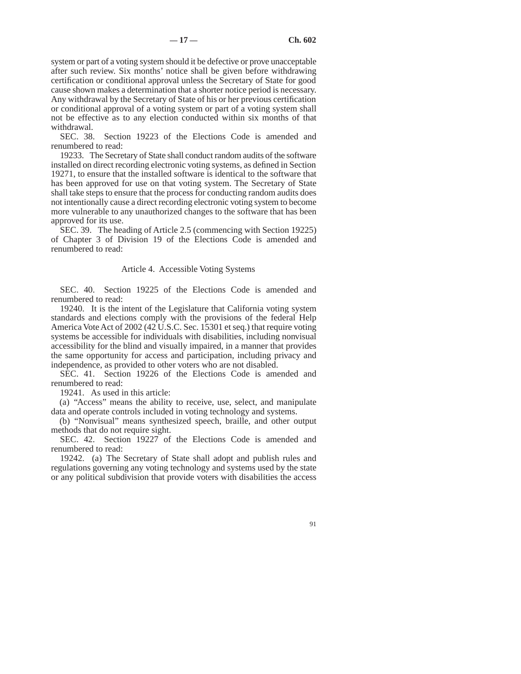system or part of a voting system should it be defective or prove unacceptable after such review. Six months' notice shall be given before withdrawing certification or conditional approval unless the Secretary of State for good cause shown makes a determination that a shorter notice period is necessary. Any withdrawal by the Secretary of State of his or her previous certification or conditional approval of a voting system or part of a voting system shall not be effective as to any election conducted within six months of that withdrawal.

SEC. 38. Section 19223 of the Elections Code is amended and renumbered to read:

19233. The Secretary of State shall conduct random audits of the software installed on direct recording electronic voting systems, as defined in Section 19271, to ensure that the installed software is identical to the software that has been approved for use on that voting system. The Secretary of State shall take steps to ensure that the process for conducting random audits does not intentionally cause a direct recording electronic voting system to become more vulnerable to any unauthorized changes to the software that has been approved for its use.

SEC. 39. The heading of Article 2.5 (commencing with Section 19225) of Chapter 3 of Division 19 of the Elections Code is amended and renumbered to read:

### Article 4. Accessible Voting Systems

SEC. 40. Section 19225 of the Elections Code is amended and renumbered to read:

19240. It is the intent of the Legislature that California voting system standards and elections comply with the provisions of the federal Help America Vote Act of 2002 (42 U.S.C. Sec. 15301 et seq.) that require voting systems be accessible for individuals with disabilities, including nonvisual accessibility for the blind and visually impaired, in a manner that provides the same opportunity for access and participation, including privacy and independence, as provided to other voters who are not disabled.

SEC. 41. Section 19226 of the Elections Code is amended and renumbered to read:

19241. As used in this article:

(a) "Access" means the ability to receive, use, select, and manipulate data and operate controls included in voting technology and systems.

(b) "Nonvisual" means synthesized speech, braille, and other output methods that do not require sight.

SEC. 42. Section 19227 of the Elections Code is amended and renumbered to read:

19242. (a) The Secretary of State shall adopt and publish rules and regulations governing any voting technology and systems used by the state or any political subdivision that provide voters with disabilities the access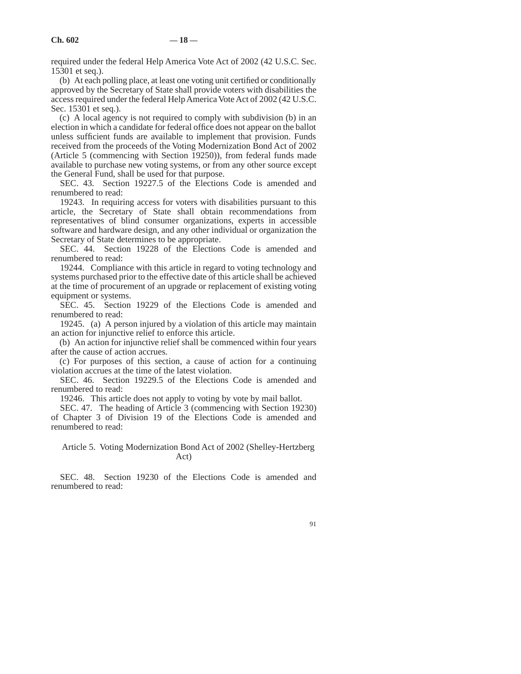required under the federal Help America Vote Act of 2002 (42 U.S.C. Sec. 15301 et seq.).

(b) At each polling place, at least one voting unit certified or conditionally approved by the Secretary of State shall provide voters with disabilities the access required under the federal Help America Vote Act of 2002 (42 U.S.C. Sec. 15301 et seq.).

(c) A local agency is not required to comply with subdivision (b) in an election in which a candidate for federal office does not appear on the ballot unless sufficient funds are available to implement that provision. Funds received from the proceeds of the Voting Modernization Bond Act of 2002 (Article 5 (commencing with Section 19250)), from federal funds made available to purchase new voting systems, or from any other source except the General Fund, shall be used for that purpose.

SEC. 43. Section 19227.5 of the Elections Code is amended and renumbered to read:

19243. In requiring access for voters with disabilities pursuant to this article, the Secretary of State shall obtain recommendations from representatives of blind consumer organizations, experts in accessible software and hardware design, and any other individual or organization the Secretary of State determines to be appropriate.

SEC. 44. Section 19228 of the Elections Code is amended and renumbered to read:

19244. Compliance with this article in regard to voting technology and systems purchased prior to the effective date of this article shall be achieved at the time of procurement of an upgrade or replacement of existing voting equipment or systems.

SEC. 45. Section 19229 of the Elections Code is amended and renumbered to read:

19245. (a) A person injured by a violation of this article may maintain an action for injunctive relief to enforce this article.

(b) An action for injunctive relief shall be commenced within four years after the cause of action accrues.

(c) For purposes of this section, a cause of action for a continuing violation accrues at the time of the latest violation.

SEC. 46. Section 19229.5 of the Elections Code is amended and renumbered to read:

19246. This article does not apply to voting by vote by mail ballot.

SEC. 47. The heading of Article 3 (commencing with Section 19230) of Chapter 3 of Division 19 of the Elections Code is amended and renumbered to read:

# Article 5. Voting Modernization Bond Act of 2002 (Shelley-Hertzberg Act)

SEC. 48. Section 19230 of the Elections Code is amended and renumbered to read: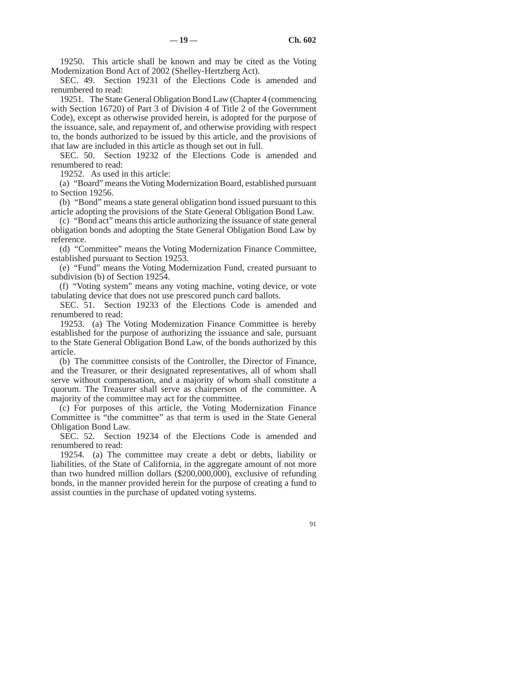19250. This article shall be known and may be cited as the Voting Modernization Bond Act of 2002 (Shelley-Hertzberg Act).

SEC. 49. Section 19231 of the Elections Code is amended and renumbered to read:

19251. The State General Obligation Bond Law (Chapter 4 (commencing with Section 16720) of Part 3 of Division 4 of Title 2 of the Government Code), except as otherwise provided herein, is adopted for the purpose of the issuance, sale, and repayment of, and otherwise providing with respect to, the bonds authorized to be issued by this article, and the provisions of that law are included in this article as though set out in full.

SEC. 50. Section 19232 of the Elections Code is amended and renumbered to read:

19252. As used in this article:

(a) "Board" means the Voting Modernization Board, established pursuant to Section 19256.

(b) "Bond" means a state general obligation bond issued pursuant to this article adopting the provisions of the State General Obligation Bond Law.

(c) "Bond act" means this article authorizing the issuance of state general obligation bonds and adopting the State General Obligation Bond Law by reference.

(d) "Committee" means the Voting Modernization Finance Committee, established pursuant to Section 19253.

(e) "Fund" means the Voting Modernization Fund, created pursuant to subdivision (b) of Section 19254.

(f) "Voting system" means any voting machine, voting device, or vote tabulating device that does not use prescored punch card ballots.

SEC. 51. Section 19233 of the Elections Code is amended and renumbered to read:

19253. (a) The Voting Modernization Finance Committee is hereby established for the purpose of authorizing the issuance and sale, pursuant to the State General Obligation Bond Law, of the bonds authorized by this article.

(b) The committee consists of the Controller, the Director of Finance, and the Treasurer, or their designated representatives, all of whom shall serve without compensation, and a majority of whom shall constitute a quorum. The Treasurer shall serve as chairperson of the committee. A majority of the committee may act for the committee.

(c) For purposes of this article, the Voting Modernization Finance Committee is "the committee" as that term is used in the State General Obligation Bond Law.

SEC. 52. Section 19234 of the Elections Code is amended and renumbered to read:

19254. (a) The committee may create a debt or debts, liability or liabilities, of the State of California, in the aggregate amount of not more than two hundred million dollars (\$200,000,000), exclusive of refunding bonds, in the manner provided herein for the purpose of creating a fund to assist counties in the purchase of updated voting systems.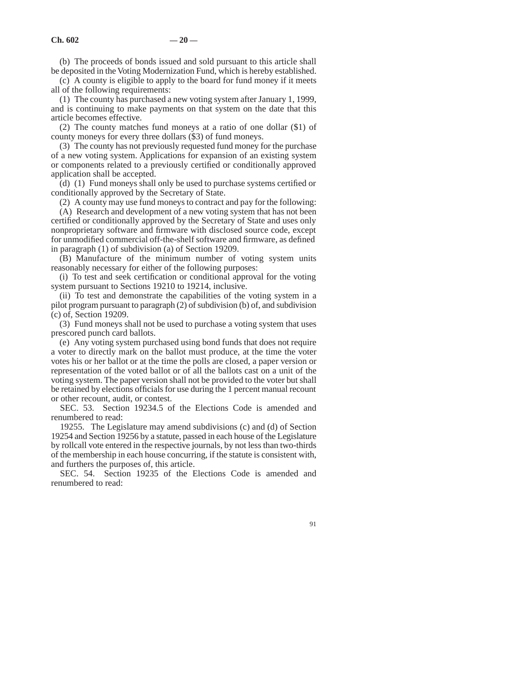(b) The proceeds of bonds issued and sold pursuant to this article shall be deposited in the Voting Modernization Fund, which is hereby established.

(c) A county is eligible to apply to the board for fund money if it meets all of the following requirements:

(1) The county has purchased a new voting system after January 1, 1999, and is continuing to make payments on that system on the date that this article becomes effective.

(2) The county matches fund moneys at a ratio of one dollar (\$1) of county moneys for every three dollars (\$3) of fund moneys.

(3) The county has not previously requested fund money for the purchase of a new voting system. Applications for expansion of an existing system or components related to a previously certified or conditionally approved application shall be accepted.

(d) (1) Fund moneys shall only be used to purchase systems certified or conditionally approved by the Secretary of State.

(2) A county may use fund moneys to contract and pay for the following:

(A) Research and development of a new voting system that has not been certified or conditionally approved by the Secretary of State and uses only nonproprietary software and firmware with disclosed source code, except for unmodified commercial off-the-shelf software and firmware, as defined in paragraph (1) of subdivision (a) of Section 19209.

(B) Manufacture of the minimum number of voting system units reasonably necessary for either of the following purposes:

(i) To test and seek certification or conditional approval for the voting system pursuant to Sections 19210 to 19214, inclusive.

(ii) To test and demonstrate the capabilities of the voting system in a pilot program pursuant to paragraph (2) of subdivision (b) of, and subdivision (c) of, Section 19209.

(3) Fund moneys shall not be used to purchase a voting system that uses prescored punch card ballots.

(e) Any voting system purchased using bond funds that does not require a voter to directly mark on the ballot must produce, at the time the voter votes his or her ballot or at the time the polls are closed, a paper version or representation of the voted ballot or of all the ballots cast on a unit of the voting system. The paper version shall not be provided to the voter but shall be retained by elections officials for use during the 1 percent manual recount or other recount, audit, or contest.

SEC. 53. Section 19234.5 of the Elections Code is amended and renumbered to read:

19255. The Legislature may amend subdivisions (c) and (d) of Section 19254 and Section 19256 by a statute, passed in each house of the Legislature by rollcall vote entered in the respective journals, by not less than two-thirds of the membership in each house concurring, if the statute is consistent with, and furthers the purposes of, this article.

SEC. 54. Section 19235 of the Elections Code is amended and renumbered to read: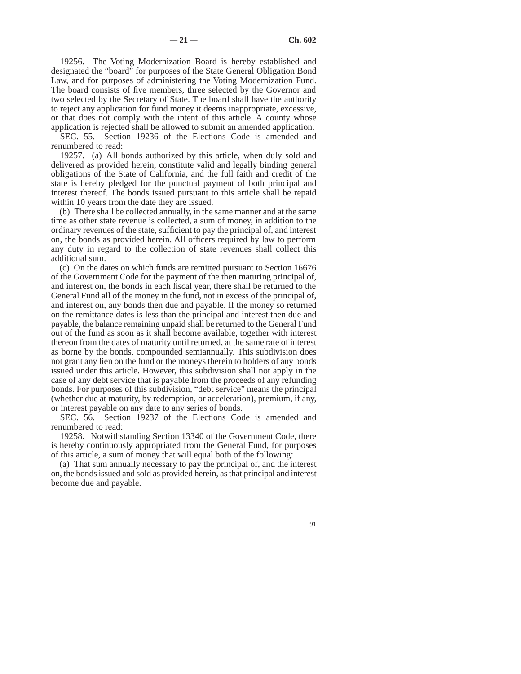19256. The Voting Modernization Board is hereby established and designated the "board" for purposes of the State General Obligation Bond Law, and for purposes of administering the Voting Modernization Fund. The board consists of five members, three selected by the Governor and two selected by the Secretary of State. The board shall have the authority to reject any application for fund money it deems inappropriate, excessive, or that does not comply with the intent of this article. A county whose application is rejected shall be allowed to submit an amended application.

SEC. 55. Section 19236 of the Elections Code is amended and renumbered to read:

19257. (a) All bonds authorized by this article, when duly sold and delivered as provided herein, constitute valid and legally binding general obligations of the State of California, and the full faith and credit of the state is hereby pledged for the punctual payment of both principal and interest thereof. The bonds issued pursuant to this article shall be repaid within 10 years from the date they are issued.

(b) There shall be collected annually, in the same manner and at the same time as other state revenue is collected, a sum of money, in addition to the ordinary revenues of the state, sufficient to pay the principal of, and interest on, the bonds as provided herein. All officers required by law to perform any duty in regard to the collection of state revenues shall collect this additional sum.

(c) On the dates on which funds are remitted pursuant to Section 16676 of the Government Code for the payment of the then maturing principal of, and interest on, the bonds in each fiscal year, there shall be returned to the General Fund all of the money in the fund, not in excess of the principal of, and interest on, any bonds then due and payable. If the money so returned on the remittance dates is less than the principal and interest then due and payable, the balance remaining unpaid shall be returned to the General Fund out of the fund as soon as it shall become available, together with interest thereon from the dates of maturity until returned, at the same rate of interest as borne by the bonds, compounded semiannually. This subdivision does not grant any lien on the fund or the moneys therein to holders of any bonds issued under this article. However, this subdivision shall not apply in the case of any debt service that is payable from the proceeds of any refunding bonds. For purposes of this subdivision, "debt service" means the principal (whether due at maturity, by redemption, or acceleration), premium, if any, or interest payable on any date to any series of bonds.

SEC. 56. Section 19237 of the Elections Code is amended and renumbered to read:

19258. Notwithstanding Section 13340 of the Government Code, there is hereby continuously appropriated from the General Fund, for purposes of this article, a sum of money that will equal both of the following:

(a) That sum annually necessary to pay the principal of, and the interest on, the bonds issued and sold as provided herein, as that principal and interest become due and payable.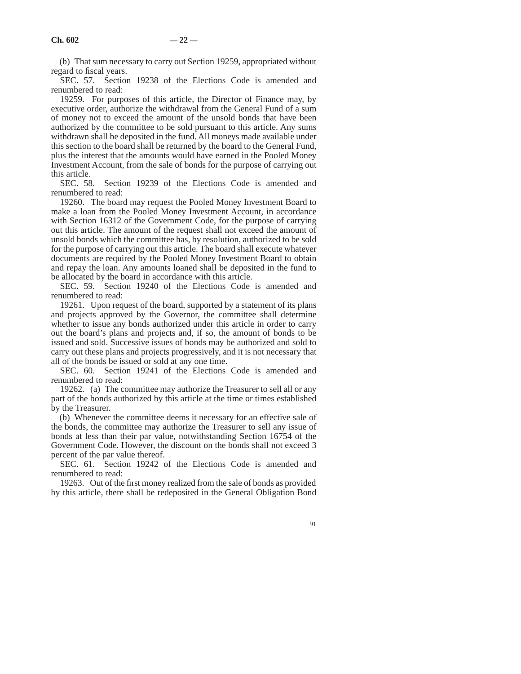(b) That sum necessary to carry out Section 19259, appropriated without regard to fiscal years.

SEC. 57. Section 19238 of the Elections Code is amended and renumbered to read:

19259. For purposes of this article, the Director of Finance may, by executive order, authorize the withdrawal from the General Fund of a sum of money not to exceed the amount of the unsold bonds that have been authorized by the committee to be sold pursuant to this article. Any sums withdrawn shall be deposited in the fund. All moneys made available under this section to the board shall be returned by the board to the General Fund, plus the interest that the amounts would have earned in the Pooled Money Investment Account, from the sale of bonds for the purpose of carrying out this article.

SEC. 58. Section 19239 of the Elections Code is amended and renumbered to read:

19260. The board may request the Pooled Money Investment Board to make a loan from the Pooled Money Investment Account, in accordance with Section 16312 of the Government Code, for the purpose of carrying out this article. The amount of the request shall not exceed the amount of unsold bonds which the committee has, by resolution, authorized to be sold for the purpose of carrying out this article. The board shall execute whatever documents are required by the Pooled Money Investment Board to obtain and repay the loan. Any amounts loaned shall be deposited in the fund to be allocated by the board in accordance with this article.

SEC. 59. Section 19240 of the Elections Code is amended and renumbered to read:

19261. Upon request of the board, supported by a statement of its plans and projects approved by the Governor, the committee shall determine whether to issue any bonds authorized under this article in order to carry out the board's plans and projects and, if so, the amount of bonds to be issued and sold. Successive issues of bonds may be authorized and sold to carry out these plans and projects progressively, and it is not necessary that all of the bonds be issued or sold at any one time.

SEC. 60. Section 19241 of the Elections Code is amended and renumbered to read:

19262. (a) The committee may authorize the Treasurer to sell all or any part of the bonds authorized by this article at the time or times established by the Treasurer.

(b) Whenever the committee deems it necessary for an effective sale of the bonds, the committee may authorize the Treasurer to sell any issue of bonds at less than their par value, notwithstanding Section 16754 of the Government Code. However, the discount on the bonds shall not exceed 3 percent of the par value thereof.

SEC. 61. Section 19242 of the Elections Code is amended and renumbered to read:

19263. Out of the first money realized from the sale of bonds as provided by this article, there shall be redeposited in the General Obligation Bond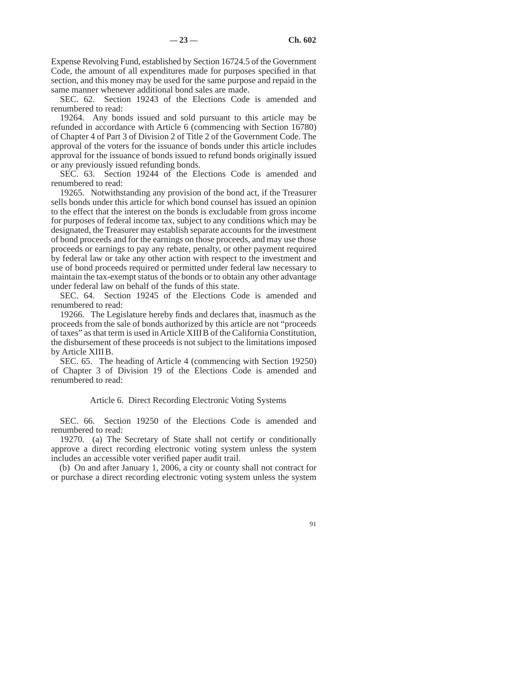Expense Revolving Fund, established by Section 16724.5 of the Government Code, the amount of all expenditures made for purposes specified in that section, and this money may be used for the same purpose and repaid in the same manner whenever additional bond sales are made.

SEC. 62. Section 19243 of the Elections Code is amended and renumbered to read:

19264. Any bonds issued and sold pursuant to this article may be refunded in accordance with Article 6 (commencing with Section 16780) of Chapter 4 of Part 3 of Division 2 of Title 2 of the Government Code. The approval of the voters for the issuance of bonds under this article includes approval for the issuance of bonds issued to refund bonds originally issued or any previously issued refunding bonds.

SEC. 63. Section 19244 of the Elections Code is amended and renumbered to read:

19265. Notwithstanding any provision of the bond act, if the Treasurer sells bonds under this article for which bond counsel has issued an opinion to the effect that the interest on the bonds is excludable from gross income for purposes of federal income tax, subject to any conditions which may be designated, the Treasurer may establish separate accounts for the investment of bond proceeds and for the earnings on those proceeds, and may use those proceeds or earnings to pay any rebate, penalty, or other payment required by federal law or take any other action with respect to the investment and use of bond proceeds required or permitted under federal law necessary to maintain the tax-exempt status of the bonds or to obtain any other advantage under federal law on behalf of the funds of this state.

SEC. 64. Section 19245 of the Elections Code is amended and renumbered to read:

19266. The Legislature hereby finds and declares that, inasmuch as the proceeds from the sale of bonds authorized by this article are not "proceeds of taxes" as that term is used in Article XIIIB of the California Constitution, the disbursement of these proceeds is not subject to the limitations imposed by Article XIII B.

SEC. 65. The heading of Article 4 (commencing with Section 19250) of Chapter 3 of Division 19 of the Elections Code is amended and renumbered to read:

Article 6. Direct Recording Electronic Voting Systems

SEC. 66. Section 19250 of the Elections Code is amended and renumbered to read:

19270. (a) The Secretary of State shall not certify or conditionally approve a direct recording electronic voting system unless the system includes an accessible voter verified paper audit trail.

(b) On and after January 1, 2006, a city or county shall not contract for or purchase a direct recording electronic voting system unless the system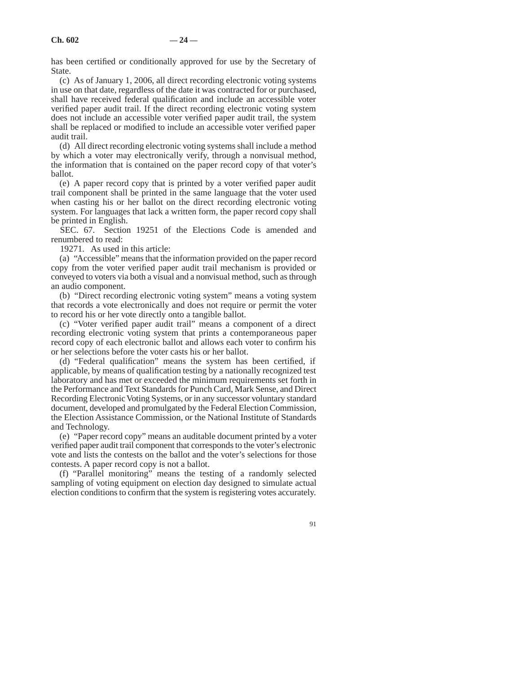has been certified or conditionally approved for use by the Secretary of State.

(c) As of January 1, 2006, all direct recording electronic voting systems in use on that date, regardless of the date it was contracted for or purchased, shall have received federal qualification and include an accessible voter verified paper audit trail. If the direct recording electronic voting system does not include an accessible voter verified paper audit trail, the system shall be replaced or modified to include an accessible voter verified paper audit trail.

(d) All direct recording electronic voting systems shall include a method by which a voter may electronically verify, through a nonvisual method, the information that is contained on the paper record copy of that voter's ballot.

(e) A paper record copy that is printed by a voter verified paper audit trail component shall be printed in the same language that the voter used when casting his or her ballot on the direct recording electronic voting system. For languages that lack a written form, the paper record copy shall be printed in English.

SEC. 67. Section 19251 of the Elections Code is amended and renumbered to read:

19271. As used in this article:

(a) "Accessible" means that the information provided on the paper record copy from the voter verified paper audit trail mechanism is provided or conveyed to voters via both a visual and a nonvisual method, such as through an audio component.

(b) "Direct recording electronic voting system" means a voting system that records a vote electronically and does not require or permit the voter to record his or her vote directly onto a tangible ballot.

(c) "Voter verified paper audit trail" means a component of a direct recording electronic voting system that prints a contemporaneous paper record copy of each electronic ballot and allows each voter to confirm his or her selections before the voter casts his or her ballot.

(d) "Federal qualification" means the system has been certified, if applicable, by means of qualification testing by a nationally recognized test laboratory and has met or exceeded the minimum requirements set forth in the Performance and Text Standards for Punch Card, Mark Sense, and Direct Recording Electronic Voting Systems, or in any successor voluntary standard document, developed and promulgated by the Federal Election Commission, the Election Assistance Commission, or the National Institute of Standards and Technology.

(e) "Paper record copy" means an auditable document printed by a voter verified paper audit trail component that corresponds to the voter's electronic vote and lists the contests on the ballot and the voter's selections for those contests. A paper record copy is not a ballot.

(f) "Parallel monitoring" means the testing of a randomly selected sampling of voting equipment on election day designed to simulate actual election conditions to confirm that the system is registering votes accurately.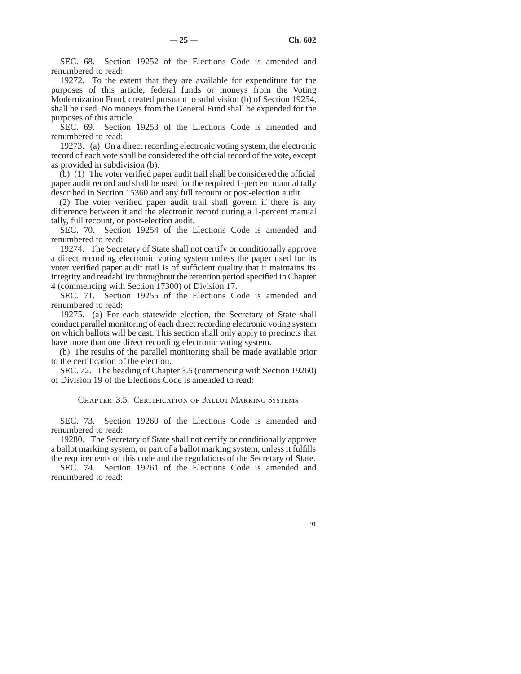SEC. 68. Section 19252 of the Elections Code is amended and renumbered to read:

19272. To the extent that they are available for expenditure for the purposes of this article, federal funds or moneys from the Voting Modernization Fund, created pursuant to subdivision (b) of Section 19254, shall be used. No moneys from the General Fund shall be expended for the purposes of this article.

SEC. 69. Section 19253 of the Elections Code is amended and renumbered to read:

19273. (a) On a direct recording electronic voting system, the electronic record of each vote shall be considered the official record of the vote, except as provided in subdivision (b).

(b) (1) The voter verified paper audit trail shall be considered the official paper audit record and shall be used for the required 1-percent manual tally described in Section 15360 and any full recount or post-election audit.

(2) The voter verified paper audit trail shall govern if there is any difference between it and the electronic record during a 1-percent manual tally, full recount, or post-election audit.

SEC. 70. Section 19254 of the Elections Code is amended and renumbered to read:

19274. The Secretary of State shall not certify or conditionally approve a direct recording electronic voting system unless the paper used for its voter verified paper audit trail is of sufficient quality that it maintains its integrity and readability throughout the retention period specified in Chapter 4 (commencing with Section 17300) of Division 17.

SEC. 71. Section 19255 of the Elections Code is amended and renumbered to read:

19275. (a) For each statewide election, the Secretary of State shall conduct parallel monitoring of each direct recording electronic voting system on which ballots will be cast. This section shall only apply to precincts that have more than one direct recording electronic voting system.

(b) The results of the parallel monitoring shall be made available prior to the certification of the election.

SEC. 72. The heading of Chapter 3.5 (commencing with Section 19260) of Division 19 of the Elections Code is amended to read:

Chapter 3.5. Certification of Ballot Marking Systems

SEC. 73. Section 19260 of the Elections Code is amended and renumbered to read:

19280. The Secretary of State shall not certify or conditionally approve a ballot marking system, or part of a ballot marking system, unless it fulfills the requirements of this code and the regulations of the Secretary of State.

SEC. 74. Section 19261 of the Elections Code is amended and renumbered to read: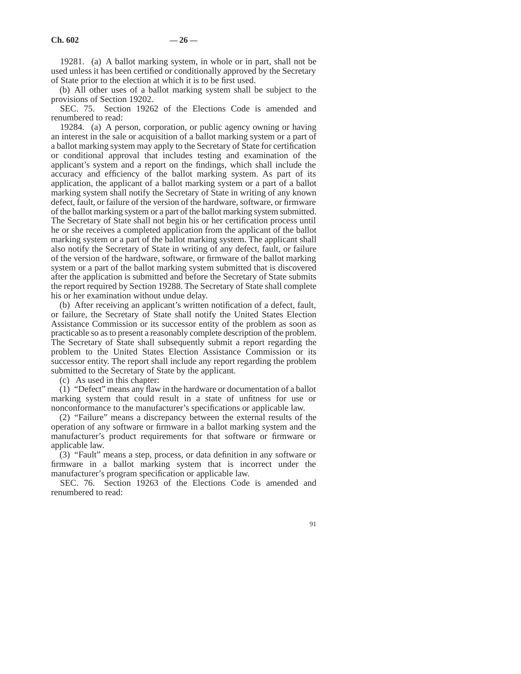19281. (a) A ballot marking system, in whole or in part, shall not be used unless it has been certified or conditionally approved by the Secretary of State prior to the election at which it is to be first used.

(b) All other uses of a ballot marking system shall be subject to the provisions of Section 19202.

SEC. 75. Section 19262 of the Elections Code is amended and renumbered to read:

19284. (a) A person, corporation, or public agency owning or having an interest in the sale or acquisition of a ballot marking system or a part of a ballot marking system may apply to the Secretary of State for certification or conditional approval that includes testing and examination of the applicant's system and a report on the findings, which shall include the accuracy and efficiency of the ballot marking system. As part of its application, the applicant of a ballot marking system or a part of a ballot marking system shall notify the Secretary of State in writing of any known defect, fault, or failure of the version of the hardware, software, or firmware of the ballot marking system or a part of the ballot marking system submitted. The Secretary of State shall not begin his or her certification process until he or she receives a completed application from the applicant of the ballot marking system or a part of the ballot marking system. The applicant shall also notify the Secretary of State in writing of any defect, fault, or failure of the version of the hardware, software, or firmware of the ballot marking system or a part of the ballot marking system submitted that is discovered after the application is submitted and before the Secretary of State submits the report required by Section 19288. The Secretary of State shall complete his or her examination without undue delay.

(b) After receiving an applicant's written notification of a defect, fault, or failure, the Secretary of State shall notify the United States Election Assistance Commission or its successor entity of the problem as soon as practicable so as to present a reasonably complete description of the problem. The Secretary of State shall subsequently submit a report regarding the problem to the United States Election Assistance Commission or its successor entity. The report shall include any report regarding the problem submitted to the Secretary of State by the applicant.

(c) As used in this chapter:

(1) "Defect" means any flaw in the hardware or documentation of a ballot marking system that could result in a state of unfitness for use or nonconformance to the manufacturer's specifications or applicable law.

(2) "Failure" means a discrepancy between the external results of the operation of any software or firmware in a ballot marking system and the manufacturer's product requirements for that software or firmware or applicable law.

(3) "Fault" means a step, process, or data definition in any software or firmware in a ballot marking system that is incorrect under the manufacturer's program specification or applicable law.

SEC. 76. Section 19263 of the Elections Code is amended and renumbered to read: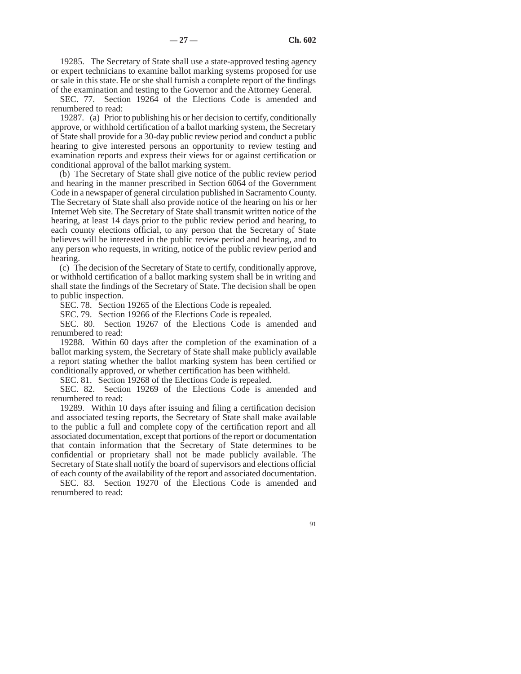19285. The Secretary of State shall use a state-approved testing agency or expert technicians to examine ballot marking systems proposed for use or sale in this state. He or she shall furnish a complete report of the findings of the examination and testing to the Governor and the Attorney General.

SEC. 77. Section 19264 of the Elections Code is amended and renumbered to read:

19287. (a) Prior to publishing his or her decision to certify, conditionally approve, or withhold certification of a ballot marking system, the Secretary of State shall provide for a 30-day public review period and conduct a public hearing to give interested persons an opportunity to review testing and examination reports and express their views for or against certification or conditional approval of the ballot marking system.

(b) The Secretary of State shall give notice of the public review period and hearing in the manner prescribed in Section 6064 of the Government Code in a newspaper of general circulation published in Sacramento County. The Secretary of State shall also provide notice of the hearing on his or her Internet Web site. The Secretary of State shall transmit written notice of the hearing, at least 14 days prior to the public review period and hearing, to each county elections official, to any person that the Secretary of State believes will be interested in the public review period and hearing, and to any person who requests, in writing, notice of the public review period and hearing.

(c) The decision of the Secretary of State to certify, conditionally approve, or withhold certification of a ballot marking system shall be in writing and shall state the findings of the Secretary of State. The decision shall be open to public inspection.

SEC. 78. Section 19265 of the Elections Code is repealed.

SEC. 79. Section 19266 of the Elections Code is repealed.

SEC. 80. Section 19267 of the Elections Code is amended and renumbered to read:

19288. Within 60 days after the completion of the examination of a ballot marking system, the Secretary of State shall make publicly available a report stating whether the ballot marking system has been certified or conditionally approved, or whether certification has been withheld.

SEC. 81. Section 19268 of the Elections Code is repealed.

SEC. 82. Section 19269 of the Elections Code is amended and renumbered to read:

19289. Within 10 days after issuing and filing a certification decision and associated testing reports, the Secretary of State shall make available to the public a full and complete copy of the certification report and all associated documentation, except that portions of the report or documentation that contain information that the Secretary of State determines to be confidential or proprietary shall not be made publicly available. The Secretary of State shall notify the board of supervisors and elections official of each county of the availability of the report and associated documentation.

SEC. 83. Section 19270 of the Elections Code is amended and renumbered to read: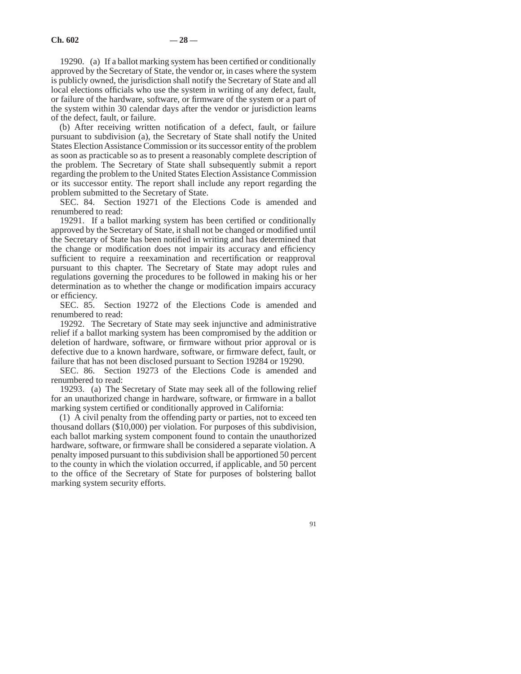19290. (a) If a ballot marking system has been certified or conditionally approved by the Secretary of State, the vendor or, in cases where the system is publicly owned, the jurisdiction shall notify the Secretary of State and all local elections officials who use the system in writing of any defect, fault, or failure of the hardware, software, or firmware of the system or a part of the system within 30 calendar days after the vendor or jurisdiction learns of the defect, fault, or failure.

(b) After receiving written notification of a defect, fault, or failure pursuant to subdivision (a), the Secretary of State shall notify the United States Election Assistance Commission or its successor entity of the problem as soon as practicable so as to present a reasonably complete description of the problem. The Secretary of State shall subsequently submit a report regarding the problem to the United States Election Assistance Commission or its successor entity. The report shall include any report regarding the problem submitted to the Secretary of State.

SEC. 84. Section 19271 of the Elections Code is amended and renumbered to read:

19291. If a ballot marking system has been certified or conditionally approved by the Secretary of State, it shall not be changed or modified until the Secretary of State has been notified in writing and has determined that the change or modification does not impair its accuracy and efficiency sufficient to require a reexamination and recertification or reapproval pursuant to this chapter. The Secretary of State may adopt rules and regulations governing the procedures to be followed in making his or her determination as to whether the change or modification impairs accuracy or efficiency.

SEC. 85. Section 19272 of the Elections Code is amended and renumbered to read:

19292. The Secretary of State may seek injunctive and administrative relief if a ballot marking system has been compromised by the addition or deletion of hardware, software, or firmware without prior approval or is defective due to a known hardware, software, or firmware defect, fault, or failure that has not been disclosed pursuant to Section 19284 or 19290.

SEC. 86. Section 19273 of the Elections Code is amended and renumbered to read:

19293. (a) The Secretary of State may seek all of the following relief for an unauthorized change in hardware, software, or firmware in a ballot marking system certified or conditionally approved in California:

(1) A civil penalty from the offending party or parties, not to exceed ten thousand dollars (\$10,000) per violation. For purposes of this subdivision, each ballot marking system component found to contain the unauthorized hardware, software, or firmware shall be considered a separate violation. A penalty imposed pursuant to this subdivision shall be apportioned 50 percent to the county in which the violation occurred, if applicable, and 50 percent to the office of the Secretary of State for purposes of bolstering ballot marking system security efforts.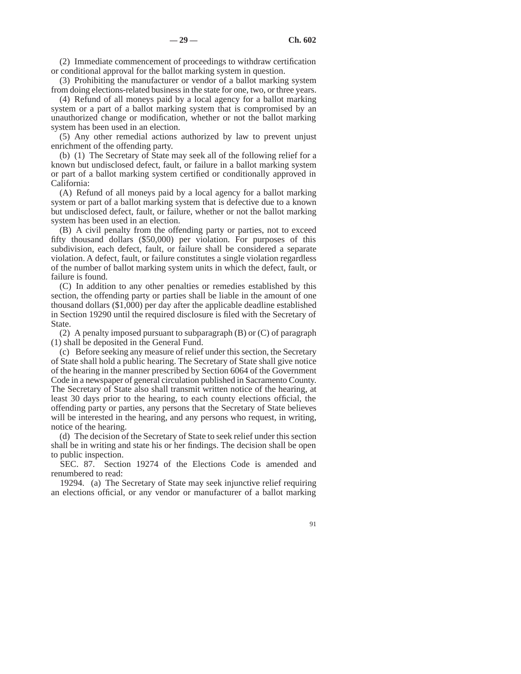(2) Immediate commencement of proceedings to withdraw certification or conditional approval for the ballot marking system in question.

(3) Prohibiting the manufacturer or vendor of a ballot marking system from doing elections-related business in the state for one, two, or three years.

(4) Refund of all moneys paid by a local agency for a ballot marking system or a part of a ballot marking system that is compromised by an unauthorized change or modification, whether or not the ballot marking system has been used in an election.

(5) Any other remedial actions authorized by law to prevent unjust enrichment of the offending party.

(b) (1) The Secretary of State may seek all of the following relief for a known but undisclosed defect, fault, or failure in a ballot marking system or part of a ballot marking system certified or conditionally approved in California:

(A) Refund of all moneys paid by a local agency for a ballot marking system or part of a ballot marking system that is defective due to a known but undisclosed defect, fault, or failure, whether or not the ballot marking system has been used in an election.

(B) A civil penalty from the offending party or parties, not to exceed fifty thousand dollars (\$50,000) per violation. For purposes of this subdivision, each defect, fault, or failure shall be considered a separate violation. A defect, fault, or failure constitutes a single violation regardless of the number of ballot marking system units in which the defect, fault, or failure is found.

(C) In addition to any other penalties or remedies established by this section, the offending party or parties shall be liable in the amount of one thousand dollars (\$1,000) per day after the applicable deadline established in Section 19290 until the required disclosure is filed with the Secretary of State.

(2) A penalty imposed pursuant to subparagraph (B) or (C) of paragraph (1) shall be deposited in the General Fund.

(c) Before seeking any measure of relief under this section, the Secretary of State shall hold a public hearing. The Secretary of State shall give notice of the hearing in the manner prescribed by Section 6064 of the Government Code in a newspaper of general circulation published in Sacramento County. The Secretary of State also shall transmit written notice of the hearing, at least 30 days prior to the hearing, to each county elections official, the offending party or parties, any persons that the Secretary of State believes will be interested in the hearing, and any persons who request, in writing, notice of the hearing.

(d) The decision of the Secretary of State to seek relief under this section shall be in writing and state his or her findings. The decision shall be open to public inspection.

SEC. 87. Section 19274 of the Elections Code is amended and renumbered to read:

19294. (a) The Secretary of State may seek injunctive relief requiring an elections official, or any vendor or manufacturer of a ballot marking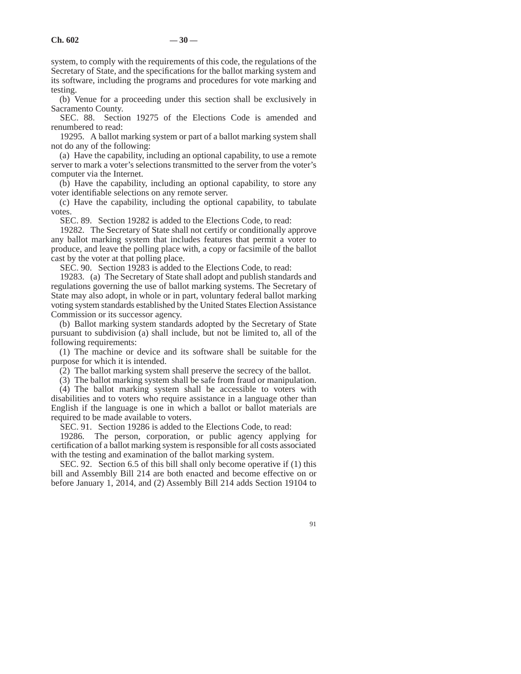system, to comply with the requirements of this code, the regulations of the Secretary of State, and the specifications for the ballot marking system and its software, including the programs and procedures for vote marking and testing.

(b) Venue for a proceeding under this section shall be exclusively in Sacramento County.

SEC. 88. Section 19275 of the Elections Code is amended and renumbered to read:

19295. A ballot marking system or part of a ballot marking system shall not do any of the following:

(a) Have the capability, including an optional capability, to use a remote server to mark a voter's selections transmitted to the server from the voter's computer via the Internet.

(b) Have the capability, including an optional capability, to store any voter identifiable selections on any remote server.

(c) Have the capability, including the optional capability, to tabulate votes.

SEC. 89. Section 19282 is added to the Elections Code, to read:

19282. The Secretary of State shall not certify or conditionally approve any ballot marking system that includes features that permit a voter to produce, and leave the polling place with, a copy or facsimile of the ballot cast by the voter at that polling place.

SEC. 90. Section 19283 is added to the Elections Code, to read:

19283. (a) The Secretary of State shall adopt and publish standards and regulations governing the use of ballot marking systems. The Secretary of State may also adopt, in whole or in part, voluntary federal ballot marking voting system standards established by the United States Election Assistance Commission or its successor agency.

(b) Ballot marking system standards adopted by the Secretary of State pursuant to subdivision (a) shall include, but not be limited to, all of the following requirements:

(1) The machine or device and its software shall be suitable for the purpose for which it is intended.

(2) The ballot marking system shall preserve the secrecy of the ballot.

(3) The ballot marking system shall be safe from fraud or manipulation.

(4) The ballot marking system shall be accessible to voters with disabilities and to voters who require assistance in a language other than English if the language is one in which a ballot or ballot materials are required to be made available to voters.

SEC. 91. Section 19286 is added to the Elections Code, to read:

19286. The person, corporation, or public agency applying for certification of a ballot marking system is responsible for all costs associated with the testing and examination of the ballot marking system.

SEC. 92. Section 6.5 of this bill shall only become operative if (1) this bill and Assembly Bill 214 are both enacted and become effective on or before January 1, 2014, and (2) Assembly Bill 214 adds Section 19104 to